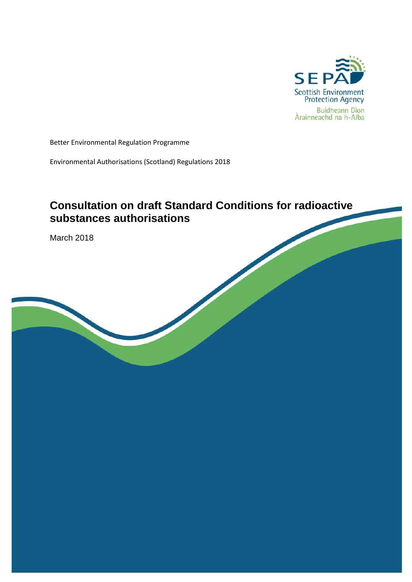

Better Environmental Regulation Programme

Environmental Authorisations (Scotland) Regulations 2018

# **Consultation on draft Standard Conditions for radioactive substances authorisations**

March 2018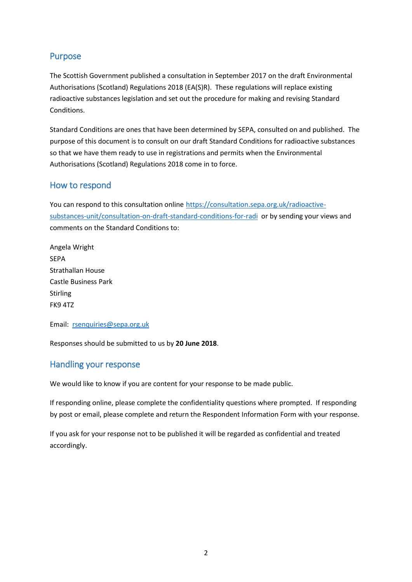## <span id="page-1-0"></span>Purpose

The Scottish Government published a consultation in September 2017 on the draft Environmental Authorisations (Scotland) Regulations 2018 (EA(S)R). These regulations will replace existing radioactive substances legislation and set out the procedure for making and revising Standard Conditions.

Standard Conditions are ones that have been determined by SEPA, consulted on and published. The purpose of this document is to consult on our draft Standard Conditions for radioactive substances so that we have them ready to use in registrations and permits when the Environmental Authorisations (Scotland) Regulations 2018 come in to force.

### <span id="page-1-1"></span>How to respond

You can respond to this consultation online [https://consultation.sepa.org.uk/radioactive](https://consultation.sepa.org.uk/radioactive-substances-unit/consultation-on-draft-standard-conditions-for-radi)[substances-unit/consultation-on-draft-standard-conditions-for-radi](https://consultation.sepa.org.uk/radioactive-substances-unit/consultation-on-draft-standard-conditions-for-radi) or by sending your views and comments on the Standard Conditions to:

Angela Wright SEPA Strathallan House Castle Business Park Stirling FK9 4TZ

Email: [rsenquiries@sepa.org.uk](mailto:rsenquiries@sepa.org.uk)

Responses should be submitted to us by **20 June 2018**.

### <span id="page-1-2"></span>Handling your response

We would like to know if you are content for your response to be made public.

If responding online, please complete the confidentiality questions where prompted. If responding by post or email, please complete and return the Respondent Information Form with your response.

If you ask for your response not to be published it will be regarded as confidential and treated accordingly.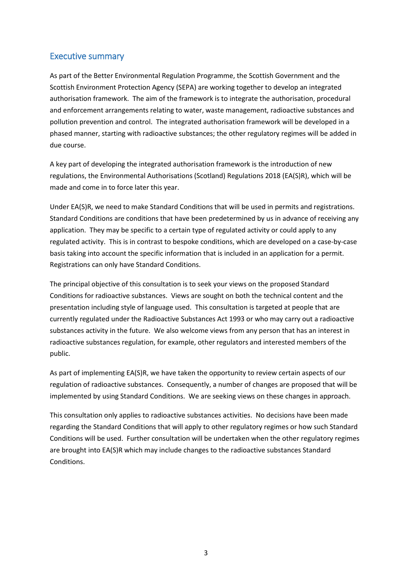## <span id="page-2-0"></span>Executive summary

As part of the Better Environmental Regulation Programme, the Scottish Government and the Scottish Environment Protection Agency (SEPA) are working together to develop an integrated authorisation framework. The aim of the framework is to integrate the authorisation, procedural and enforcement arrangements relating to water, waste management, radioactive substances and pollution prevention and control. The integrated authorisation framework will be developed in a phased manner, starting with radioactive substances; the other regulatory regimes will be added in due course.

A key part of developing the integrated authorisation framework is the introduction of new regulations, the Environmental Authorisations (Scotland) Regulations 2018 (EA(S)R), which will be made and come in to force later this year.

Under EA(S)R, we need to make Standard Conditions that will be used in permits and registrations. Standard Conditions are conditions that have been predetermined by us in advance of receiving any application. They may be specific to a certain type of regulated activity or could apply to any regulated activity. This is in contrast to bespoke conditions, which are developed on a case-by-case basis taking into account the specific information that is included in an application for a permit. Registrations can only have Standard Conditions.

The principal objective of this consultation is to seek your views on the proposed Standard Conditions for radioactive substances. Views are sought on both the technical content and the presentation including style of language used. This consultation is targeted at people that are currently regulated under the Radioactive Substances Act 1993 or who may carry out a radioactive substances activity in the future. We also welcome views from any person that has an interest in radioactive substances regulation, for example, other regulators and interested members of the public.

As part of implementing EA(S)R, we have taken the opportunity to review certain aspects of our regulation of radioactive substances. Consequently, a number of changes are proposed that will be implemented by using Standard Conditions. We are seeking views on these changes in approach.

This consultation only applies to radioactive substances activities. No decisions have been made regarding the Standard Conditions that will apply to other regulatory regimes or how such Standard Conditions will be used. Further consultation will be undertaken when the other regulatory regimes are brought into EA(S)R which may include changes to the radioactive substances Standard Conditions.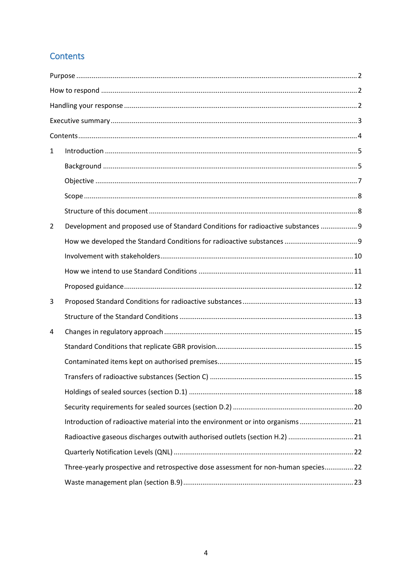## <span id="page-3-0"></span>Contents

| $\mathbf{1}$   |                                                                                     |  |  |  |
|----------------|-------------------------------------------------------------------------------------|--|--|--|
|                |                                                                                     |  |  |  |
|                |                                                                                     |  |  |  |
|                |                                                                                     |  |  |  |
|                |                                                                                     |  |  |  |
| $\overline{2}$ | Development and proposed use of Standard Conditions for radioactive substances  9   |  |  |  |
|                |                                                                                     |  |  |  |
|                |                                                                                     |  |  |  |
|                |                                                                                     |  |  |  |
|                |                                                                                     |  |  |  |
| 3              |                                                                                     |  |  |  |
|                |                                                                                     |  |  |  |
| 4              |                                                                                     |  |  |  |
|                |                                                                                     |  |  |  |
|                |                                                                                     |  |  |  |
|                |                                                                                     |  |  |  |
|                |                                                                                     |  |  |  |
|                |                                                                                     |  |  |  |
|                | Introduction of radioactive material into the environment or into organisms  21     |  |  |  |
|                | Radioactive gaseous discharges outwith authorised outlets (section H.2)  21         |  |  |  |
|                |                                                                                     |  |  |  |
|                | Three-yearly prospective and retrospective dose assessment for non-human species 22 |  |  |  |
|                |                                                                                     |  |  |  |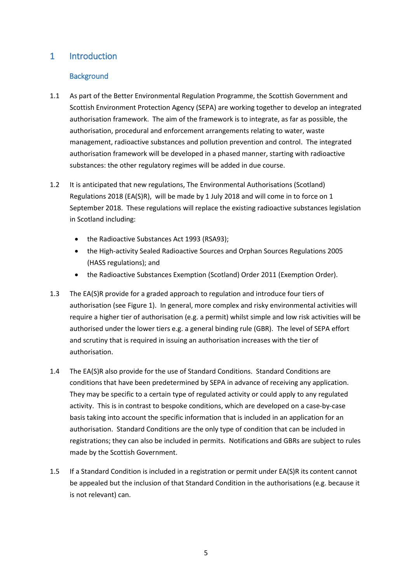## <span id="page-4-1"></span><span id="page-4-0"></span>1 Introduction

#### **Background**

- 1.1 As part of the Better Environmental Regulation Programme, the Scottish Government and Scottish Environment Protection Agency (SEPA) are working together to develop an integrated authorisation framework. The aim of the framework is to integrate, as far as possible, the authorisation, procedural and enforcement arrangements relating to water, waste management, radioactive substances and pollution prevention and control. The integrated authorisation framework will be developed in a phased manner, starting with radioactive substances: the other regulatory regimes will be added in due course.
- 1.2 It is anticipated that new regulations, The Environmental Authorisations (Scotland) Regulations 2018 (EA(S)R), will be made by 1 July 2018 and will come in to force on 1 September 2018. These regulations will replace the existing radioactive substances legislation in Scotland including:
	- the Radioactive Substances Act 1993 (RSA93);
	- the High-activity Sealed Radioactive Sources and Orphan Sources Regulations 2005 (HASS regulations); and
	- the Radioactive Substances Exemption (Scotland) Order 2011 (Exemption Order).
- 1.3 The EA(S)R provide for a graded approach to regulation and introduce four tiers of authorisation (se[e Figure 1\)](#page-5-0). In general, more complex and risky environmental activities will require a higher tier of authorisation (e.g. a permit) whilst simple and low risk activities will be authorised under the lower tiers e.g. a general binding rule (GBR). The level of SEPA effort and scrutiny that is required in issuing an authorisation increases with the tier of authorisation.
- 1.4 The EA(S)R also provide for the use of Standard Conditions. Standard Conditions are conditions that have been predetermined by SEPA in advance of receiving any application. They may be specific to a certain type of regulated activity or could apply to any regulated activity. This is in contrast to bespoke conditions, which are developed on a case-by-case basis taking into account the specific information that is included in an application for an authorisation. Standard Conditions are the only type of condition that can be included in registrations; they can also be included in permits. Notifications and GBRs are subject to rules made by the Scottish Government.
- 1.5 If a Standard Condition is included in a registration or permit under EA(S)R its content cannot be appealed but the inclusion of that Standard Condition in the authorisations (e.g. because it is not relevant) can.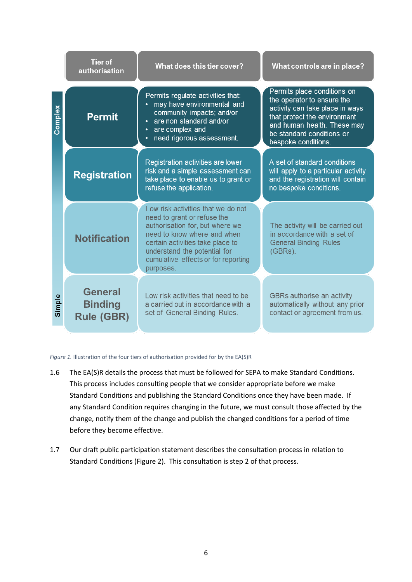|         | <b>Tier of</b><br>authorisation                       | What does this tier cover?                                                                                                                                                                                                                                  | What controls are in place?                                                                                                                                                                                     |  |
|---------|-------------------------------------------------------|-------------------------------------------------------------------------------------------------------------------------------------------------------------------------------------------------------------------------------------------------------------|-----------------------------------------------------------------------------------------------------------------------------------------------------------------------------------------------------------------|--|
| Complex | <b>Permit</b>                                         | Permits regulate activities that:<br>may have environmental and<br>community impacts; and/or<br>are non standard and/or<br>are complex and<br>need rigorous assessment.                                                                                     | Permits place conditions on<br>the operator to ensure the<br>activity can take place in ways<br>that protect the environment<br>and human health. These may<br>be standard conditions or<br>bespoke conditions. |  |
|         | <b>Registration</b>                                   | Registration activities are lower<br>risk and a simple assessment can<br>take place to enable us to grant or<br>refuse the application.                                                                                                                     | A set of standard conditions<br>will apply to a particular activity<br>and the registration will contain<br>no bespoke conditions.                                                                              |  |
|         | <b>Notification</b>                                   | Low risk activities that we do not<br>need to grant or refuse the<br>authorisation for, but where we<br>need to know where and when<br>certain activities take place to<br>understand the potential for<br>cumulative effects or for reporting<br>purposes. | The activity will be carried out<br>in accordance with a set of<br><b>General Binding Rules</b><br>$(GBRS)$ .                                                                                                   |  |
| Simple  | <b>General</b><br><b>Binding</b><br><b>Rule (GBR)</b> | Low risk activities that need to be<br>a carried out in accordance with a<br>set of General Binding Rules.                                                                                                                                                  | GBRs authorise an activity<br>automatically without any prior<br>contact or agreement from us.                                                                                                                  |  |

<span id="page-5-0"></span>*Figure 1.* Illustration of the four tiers of authorisation provided for by the EA(S)R

- 1.6 The EA(S)R details the process that must be followed for SEPA to make Standard Conditions. This process includes consulting people that we consider appropriate before we make Standard Conditions and publishing the Standard Conditions once they have been made. If any Standard Condition requires changing in the future, we must consult those affected by the change, notify them of the change and publish the changed conditions for a period of time before they become effective.
- 1.7 Our draft public participation statement describes the consultation process in relation to Standard Conditions [\(Figure 2\)](#page-6-1). This consultation is step 2 of that process.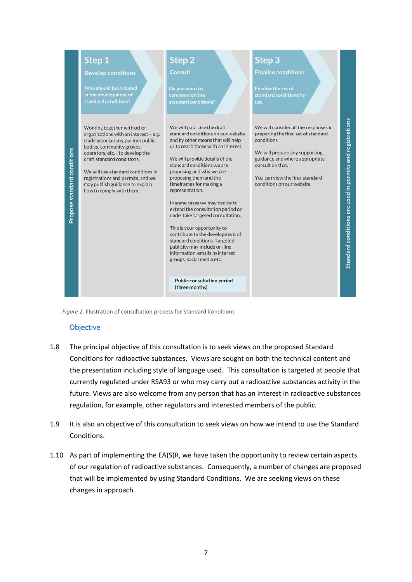

<span id="page-6-1"></span><span id="page-6-0"></span>*Figure 2.* Illustration of consultation process for Standard Conditions

#### **Objective**

- 1.8 The principal objective of this consultation is to seek views on the proposed Standard Conditions for radioactive substances. Views are sought on both the technical content and the presentation including style of language used. This consultation is targeted at people that currently regulated under RSA93 or who may carry out a radioactive substances activity in the future. Views are also welcome from any person that has an interest in radioactive substances regulation, for example, other regulators and interested members of the public.
- 1.9 It is also an objective of this consultation to seek views on how we intend to use the Standard Conditions.
- 1.10 As part of implementing the EA(S)R, we have taken the opportunity to review certain aspects of our regulation of radioactive substances. Consequently, a number of changes are proposed that will be implemented by using Standard Conditions. We are seeking views on these changes in approach.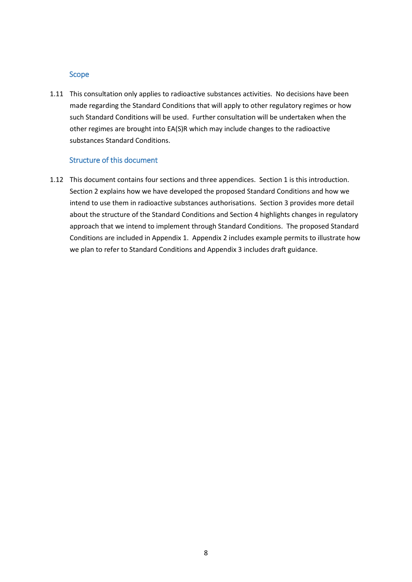#### <span id="page-7-0"></span>Scope

1.11 This consultation only applies to radioactive substances activities. No decisions have been made regarding the Standard Conditions that will apply to other regulatory regimes or how such Standard Conditions will be used. Further consultation will be undertaken when the other regimes are brought into EA(S)R which may include changes to the radioactive substances Standard Conditions.

#### Structure of this document

<span id="page-7-1"></span>1.12 This document contains four sections and three appendices. Section 1 is this introduction. Section 2 explains how we have developed the proposed Standard Conditions and how we intend to use them in radioactive substances authorisations. Section 3 provides more detail about the structure of the Standard Conditions and Section 4 highlights changes in regulatory approach that we intend to implement through Standard Conditions. The proposed Standard Conditions are included in Appendix 1. Appendix 2 includes example permits to illustrate how we plan to refer to Standard Conditions and Appendix 3 includes draft guidance.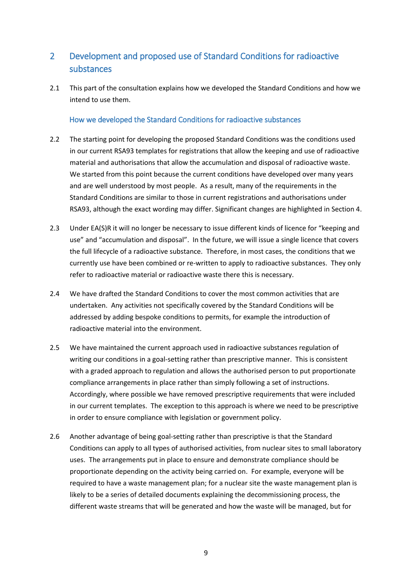## <span id="page-8-0"></span>2 Development and proposed use of Standard Conditions for radioactive substances

2.1 This part of the consultation explains how we developed the Standard Conditions and how we intend to use them.

#### How we developed the Standard Conditions for radioactive substances

- <span id="page-8-1"></span>2.2 The starting point for developing the proposed Standard Conditions was the conditions used in our current RSA93 templates for registrations that allow the keeping and use of radioactive material and authorisations that allow the accumulation and disposal of radioactive waste. We started from this point because the current conditions have developed over many years and are well understood by most people. As a result, many of the requirements in the Standard Conditions are similar to those in current registrations and authorisations under RSA93, although the exact wording may differ. Significant changes are highlighted in Section 4.
- 2.3 Under EA(S)R it will no longer be necessary to issue different kinds of licence for "keeping and use" and "accumulation and disposal". In the future, we will issue a single licence that covers the full lifecycle of a radioactive substance. Therefore, in most cases, the conditions that we currently use have been combined or re-written to apply to radioactive substances. They only refer to radioactive material or radioactive waste there this is necessary.
- 2.4 We have drafted the Standard Conditions to cover the most common activities that are undertaken. Any activities not specifically covered by the Standard Conditions will be addressed by adding bespoke conditions to permits, for example the introduction of radioactive material into the environment.
- 2.5 We have maintained the current approach used in radioactive substances regulation of writing our conditions in a goal-setting rather than prescriptive manner. This is consistent with a graded approach to regulation and allows the authorised person to put proportionate compliance arrangements in place rather than simply following a set of instructions. Accordingly, where possible we have removed prescriptive requirements that were included in our current templates. The exception to this approach is where we need to be prescriptive in order to ensure compliance with legislation or government policy.
- 2.6 Another advantage of being goal-setting rather than prescriptive is that the Standard Conditions can apply to all types of authorised activities, from nuclear sites to small laboratory uses. The arrangements put in place to ensure and demonstrate compliance should be proportionate depending on the activity being carried on. For example, everyone will be required to have a waste management plan; for a nuclear site the waste management plan is likely to be a series of detailed documents explaining the decommissioning process, the different waste streams that will be generated and how the waste will be managed, but for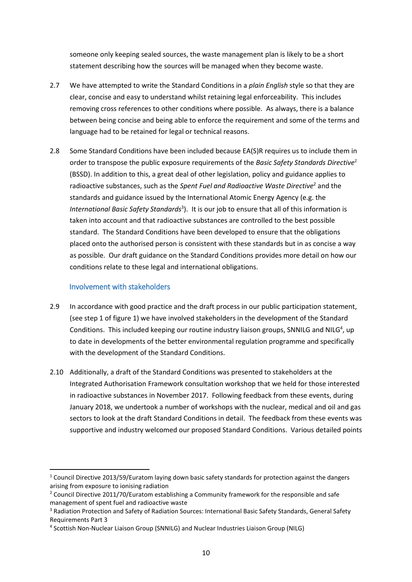someone only keeping sealed sources, the waste management plan is likely to be a short statement describing how the sources will be managed when they become waste.

- 2.7 We have attempted to write the Standard Conditions in a *plain English* style so that they are clear, concise and easy to understand whilst retaining legal enforceability. This includes removing cross references to other conditions where possible. As always, there is a balance between being concise and being able to enforce the requirement and some of the terms and language had to be retained for legal or technical reasons.
- 2.8 Some Standard Conditions have been included because EA(S)R requires us to include them in order to transpose the public exposure requirements of the *Basic Safety Standards Directive<sup>1</sup>* (BSSD). In addition to this, a great deal of other legislation, policy and guidance applies to radioactive substances, such as the *Spent Fuel and Radioactive Waste Directive*<sup>2</sup> and the standards and guidance issued by the International Atomic Energy Agency (e.g. the *International Basic Safety Standards*<sup>3</sup> ). It is our job to ensure that all of this information is taken into account and that radioactive substances are controlled to the best possible standard. The Standard Conditions have been developed to ensure that the obligations placed onto the authorised person is consistent with these standards but in as concise a way as possible. Our draft guidance on the Standard Conditions provides more detail on how our conditions relate to these legal and international obligations.

#### Involvement with stakeholders

**.** 

- <span id="page-9-0"></span>2.9 In accordance with good practice and the draft process in our public participation statement, (see step 1 of figure 1) we have involved stakeholders in the development of the Standard Conditions. This included keeping our routine industry liaison groups, SNNILG and NILG<sup>4</sup>, up to date in developments of the better environmental regulation programme and specifically with the development of the Standard Conditions.
- 2.10 Additionally, a draft of the Standard Conditions was presented to stakeholders at the Integrated Authorisation Framework consultation workshop that we held for those interested in radioactive substances in November 2017. Following feedback from these events, during January 2018, we undertook a number of workshops with the nuclear, medical and oil and gas sectors to look at the draft Standard Conditions in detail. The feedback from these events was supportive and industry welcomed our proposed Standard Conditions. Various detailed points

 $1$  Council Directive 2013/59/Euratom laying down basic safety standards for protection against the dangers arising from exposure to ionising radiation

<sup>&</sup>lt;sup>2</sup> Council Directive 2011/70/Euratom establishing a Community framework for the responsible and safe management of spent fuel and radioactive waste

<sup>&</sup>lt;sup>3</sup> Radiation Protection and Safety of Radiation Sources: International Basic Safety Standards, General Safety Requirements Part 3

<sup>&</sup>lt;sup>4</sup> Scottish Non-Nuclear Liaison Group (SNNILG) and Nuclear Industries Liaison Group (NILG)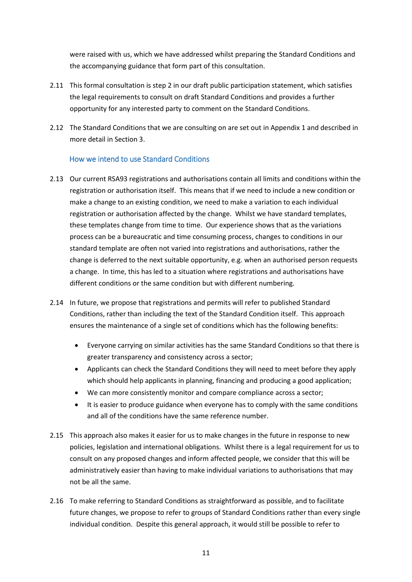were raised with us, which we have addressed whilst preparing the Standard Conditions and the accompanying guidance that form part of this consultation.

- 2.11 This formal consultation is step 2 in our draft public participation statement, which satisfies the legal requirements to consult on draft Standard Conditions and provides a further opportunity for any interested party to comment on the Standard Conditions.
- 2.12 The Standard Conditions that we are consulting on are set out in Appendix 1 and described in more detail in Section 3.

#### How we intend to use Standard Conditions

- <span id="page-10-0"></span>2.13 Our current RSA93 registrations and authorisations contain all limits and conditions within the registration or authorisation itself. This means that if we need to include a new condition or make a change to an existing condition, we need to make a variation to each individual registration or authorisation affected by the change. Whilst we have standard templates, these templates change from time to time. Our experience shows that as the variations process can be a bureaucratic and time consuming process, changes to conditions in our standard template are often not varied into registrations and authorisations, rather the change is deferred to the next suitable opportunity, e.g. when an authorised person requests a change. In time, this has led to a situation where registrations and authorisations have different conditions or the same condition but with different numbering.
- 2.14 In future, we propose that registrations and permits will refer to published Standard Conditions, rather than including the text of the Standard Condition itself. This approach ensures the maintenance of a single set of conditions which has the following benefits:
	- Everyone carrying on similar activities has the same Standard Conditions so that there is greater transparency and consistency across a sector;
	- Applicants can check the Standard Conditions they will need to meet before they apply which should help applicants in planning, financing and producing a good application;
	- We can more consistently monitor and compare compliance across a sector;
	- It is easier to produce guidance when everyone has to comply with the same conditions and all of the conditions have the same reference number.
- 2.15 This approach also makes it easier for us to make changes in the future in response to new policies, legislation and international obligations. Whilst there is a legal requirement for us to consult on any proposed changes and inform affected people, we consider that this will be administratively easier than having to make individual variations to authorisations that may not be all the same.
- 2.16 To make referring to Standard Conditions as straightforward as possible, and to facilitate future changes, we propose to refer to groups of Standard Conditions rather than every single individual condition. Despite this general approach, it would still be possible to refer to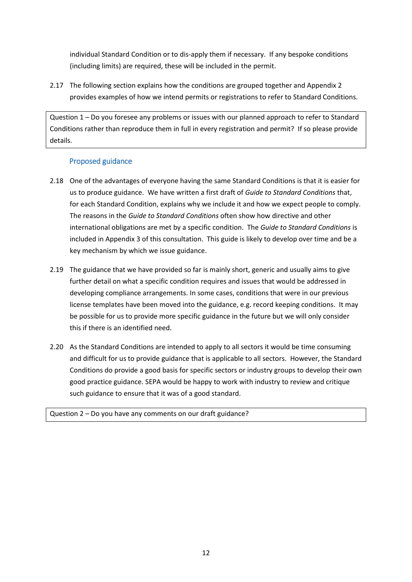individual Standard Condition or to dis-apply them if necessary. If any bespoke conditions (including limits) are required, these will be included in the permit.

2.17 The following section explains how the conditions are grouped together and Appendix 2 provides examples of how we intend permits or registrations to refer to Standard Conditions.

Question 1 – Do you foresee any problems or issues with our planned approach to refer to Standard Conditions rather than reproduce them in full in every registration and permit? If so please provide details.

#### Proposed guidance

- <span id="page-11-0"></span>2.18 One of the advantages of everyone having the same Standard Conditions is that it is easier for us to produce guidance. We have written a first draft of *Guide to Standard Conditions* that, for each Standard Condition, explains why we include it and how we expect people to comply. The reasons in the *Guide to Standard Conditions* often show how directive and other international obligations are met by a specific condition. The *Guide to Standard Conditions* is included in Appendix 3 of this consultation. This guide is likely to develop over time and be a key mechanism by which we issue guidance.
- 2.19 The guidance that we have provided so far is mainly short, generic and usually aims to give further detail on what a specific condition requires and issues that would be addressed in developing compliance arrangements. In some cases, conditions that were in our previous license templates have been moved into the guidance, e.g. record keeping conditions. It may be possible for us to provide more specific guidance in the future but we will only consider this if there is an identified need.
- 2.20 As the Standard Conditions are intended to apply to all sectors it would be time consuming and difficult for us to provide guidance that is applicable to all sectors. However, the Standard Conditions do provide a good basis for specific sectors or industry groups to develop their own good practice guidance. SEPA would be happy to work with industry to review and critique such guidance to ensure that it was of a good standard.

Question 2 – Do you have any comments on our draft guidance?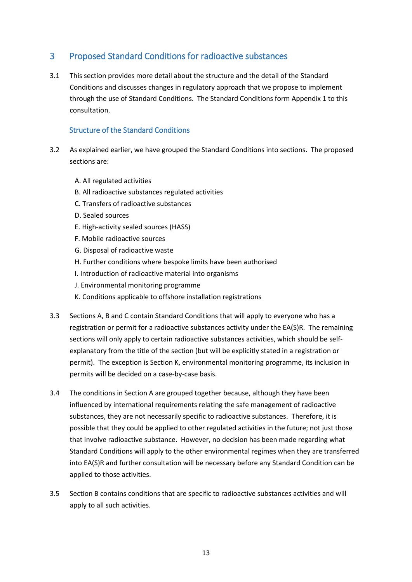## <span id="page-12-0"></span>3 Proposed Standard Conditions for radioactive substances

3.1 This section provides more detail about the structure and the detail of the Standard Conditions and discusses changes in regulatory approach that we propose to implement through the use of Standard Conditions. The Standard Conditions form Appendix 1 to this consultation.

#### Structure of the Standard Conditions

- <span id="page-12-1"></span>3.2 As explained earlier, we have grouped the Standard Conditions into sections. The proposed sections are:
	- A. All regulated activities
	- B. All radioactive substances regulated activities
	- C. Transfers of radioactive substances
	- D. Sealed sources
	- E. High-activity sealed sources (HASS)
	- F. Mobile radioactive sources
	- G. Disposal of radioactive waste
	- H. Further conditions where bespoke limits have been authorised
	- I. Introduction of radioactive material into organisms
	- J. Environmental monitoring programme
	- K. Conditions applicable to offshore installation registrations
- 3.3 Sections A, B and C contain Standard Conditions that will apply to everyone who has a registration or permit for a radioactive substances activity under the EA(S)R. The remaining sections will only apply to certain radioactive substances activities, which should be selfexplanatory from the title of the section (but will be explicitly stated in a registration or permit). The exception is Section K, environmental monitoring programme, its inclusion in permits will be decided on a case-by-case basis.
- 3.4 The conditions in Section A are grouped together because, although they have been influenced by international requirements relating the safe management of radioactive substances, they are not necessarily specific to radioactive substances. Therefore, it is possible that they could be applied to other regulated activities in the future; not just those that involve radioactive substance. However, no decision has been made regarding what Standard Conditions will apply to the other environmental regimes when they are transferred into EA(S)R and further consultation will be necessary before any Standard Condition can be applied to those activities.
- 3.5 Section B contains conditions that are specific to radioactive substances activities and will apply to all such activities.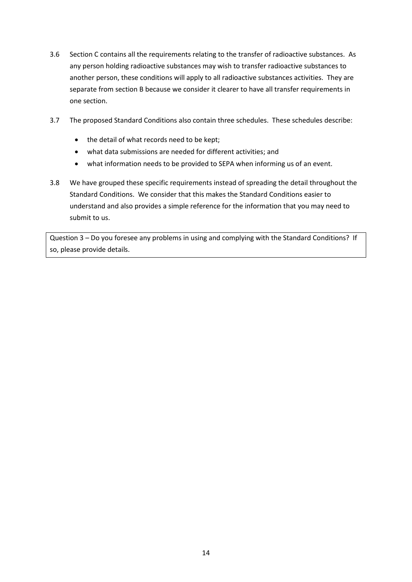- 3.6 Section C contains all the requirements relating to the transfer of radioactive substances. As any person holding radioactive substances may wish to transfer radioactive substances to another person, these conditions will apply to all radioactive substances activities. They are separate from section B because we consider it clearer to have all transfer requirements in one section.
- 3.7 The proposed Standard Conditions also contain three schedules. These schedules describe:
	- the detail of what records need to be kept;
	- what data submissions are needed for different activities; and
	- what information needs to be provided to SEPA when informing us of an event.
- 3.8 We have grouped these specific requirements instead of spreading the detail throughout the Standard Conditions. We consider that this makes the Standard Conditions easier to understand and also provides a simple reference for the information that you may need to submit to us.

Question 3 – Do you foresee any problems in using and complying with the Standard Conditions? If so, please provide details.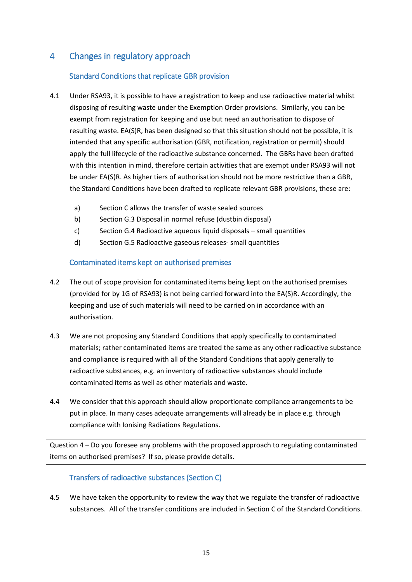## <span id="page-14-1"></span><span id="page-14-0"></span>4 Changes in regulatory approach

#### Standard Conditions that replicate GBR provision

- 4.1 Under RSA93, it is possible to have a registration to keep and use radioactive material whilst disposing of resulting waste under the Exemption Order provisions. Similarly, you can be exempt from registration for keeping and use but need an authorisation to dispose of resulting waste. EA(S)R, has been designed so that this situation should not be possible, it is intended that any specific authorisation (GBR, notification, registration or permit) should apply the full lifecycle of the radioactive substance concerned. The GBRs have been drafted with this intention in mind, therefore certain activities that are exempt under RSA93 will not be under EA(S)R. As higher tiers of authorisation should not be more restrictive than a GBR, the Standard Conditions have been drafted to replicate relevant GBR provisions, these are:
	- a) Section C allows the transfer of waste sealed sources
	- b) Section G.3 Disposal in normal refuse (dustbin disposal)
	- c) Section G.4 Radioactive aqueous liquid disposals small quantities
	- d) Section G.5 Radioactive gaseous releases- small quantities

#### Contaminated items kept on authorised premises

- <span id="page-14-2"></span>4.2 The out of scope provision for contaminated items being kept on the authorised premises (provided for by 1G of RSA93) is not being carried forward into the EA(S)R. Accordingly, the keeping and use of such materials will need to be carried on in accordance with an authorisation.
- 4.3 We are not proposing any Standard Conditions that apply specifically to contaminated materials; rather contaminated items are treated the same as any other radioactive substance and compliance is required with all of the Standard Conditions that apply generally to radioactive substances, e.g. an inventory of radioactive substances should include contaminated items as well as other materials and waste.
- 4.4 We consider that this approach should allow proportionate compliance arrangements to be put in place. In many cases adequate arrangements will already be in place e.g. through compliance with Ionising Radiations Regulations.

Question 4 – Do you foresee any problems with the proposed approach to regulating contaminated items on authorised premises? If so, please provide details.

#### Transfers of radioactive substances (Section C)

<span id="page-14-3"></span>4.5 We have taken the opportunity to review the way that we regulate the transfer of radioactive substances. All of the transfer conditions are included in Section C of the Standard Conditions.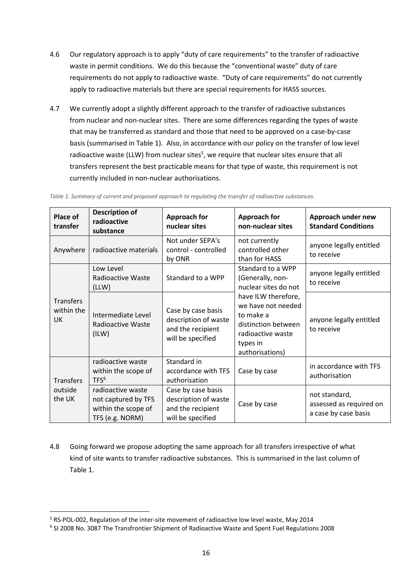- 4.6 Our regulatory approach is to apply "duty of care requirements" to the transfer of radioactive waste in permit conditions. We do this because the "conventional waste" duty of care requirements do not apply to radioactive waste. "Duty of care requirements" do not currently apply to radioactive materials but there are special requirements for HASS sources.
- 4.7 We currently adopt a slightly different approach to the transfer of radioactive substances from nuclear and non-nuclear sites. There are some differences regarding the types of waste that may be transferred as standard and those that need to be approved on a case-by-case basis (summarised in [Table 1\)](#page-15-0). Also, in accordance with our policy on the transfer of low level radioactive waste (LLW) from nuclear sites<sup>5</sup>, we require that nuclear sites ensure that all transfers represent the best practicable means for that type of waste, this requirement is not currently included in non-nuclear authorisations.

| Place of<br>transfer                 | <b>Description of</b><br>radioactive<br>substance                                  | <b>Approach for</b><br>nuclear sites                                                 | <b>Approach for</b><br>non-nuclear sites                                                                                                                                                           | Approach under new<br><b>Standard Conditions</b>                 |
|--------------------------------------|------------------------------------------------------------------------------------|--------------------------------------------------------------------------------------|----------------------------------------------------------------------------------------------------------------------------------------------------------------------------------------------------|------------------------------------------------------------------|
| Anywhere                             | radioactive materials                                                              | Not under SEPA's<br>control - controlled<br>by ONR                                   | not currently<br>controlled other<br>than for HASS                                                                                                                                                 | anyone legally entitled<br>to receive                            |
|                                      | Low Level<br><b>Radioactive Waste</b><br>(LLW)                                     | Standard to a WPP                                                                    | Standard to a WPP<br>(Generally, non-<br>nuclear sites do not<br>have ILW therefore,<br>we have not needed<br>to make a<br>distinction between<br>radioactive waste<br>types in<br>authorisations) | anyone legally entitled<br>to receive                            |
| <b>Transfers</b><br>within the<br>UK | Intermediate Level<br>Radioactive Waste<br>(ILW)                                   | Case by case basis<br>description of waste<br>and the recipient<br>will be specified |                                                                                                                                                                                                    | anyone legally entitled<br>to receive                            |
| <b>Transfers</b>                     | radioactive waste<br>within the scope of<br>TFS <sup>6</sup>                       | Standard in<br>accordance with TFS<br>authorisation                                  | Case by case                                                                                                                                                                                       | in accordance with TFS<br>authorisation                          |
| outside<br>the UK                    | radioactive waste<br>not captured by TFS<br>within the scope of<br>TFS (e.g. NORM) | Case by case basis<br>description of waste<br>and the recipient<br>will be specified | Case by case                                                                                                                                                                                       | not standard,<br>assessed as required on<br>a case by case basis |

<span id="page-15-0"></span>*Table 1. Summary of current and proposed approach to regulating the transfer of radioactive substances.*

4.8 Going forward we propose adopting the same approach for all transfers irrespective of what kind of site wants to transfer radioactive substances. This is summarised in the last column of [Table 1.](#page-15-0)

1

<sup>5</sup> RS-POL-002, Regulation of the inter-site movement of radioactive low level waste, May 2014

<sup>6</sup> SI 2008 No. 3087 The Transfrontier Shipment of Radioactive Waste and Spent Fuel Regulations 2008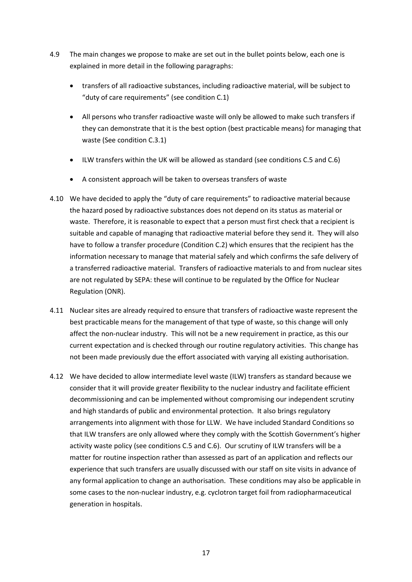- 4.9 The main changes we propose to make are set out in the bullet points below, each one is explained in more detail in the following paragraphs:
	- transfers of all radioactive substances, including radioactive material, will be subject to "duty of care requirements" (see condition C.1)
	- All persons who transfer radioactive waste will only be allowed to make such transfers if they can demonstrate that it is the best option (best practicable means) for managing that waste (See condition C.3.1)
	- ILW transfers within the UK will be allowed as standard (see conditions C.5 and C.6)
	- A consistent approach will be taken to overseas transfers of waste
- 4.10 We have decided to apply the "duty of care requirements" to radioactive material because the hazard posed by radioactive substances does not depend on its status as material or waste. Therefore, it is reasonable to expect that a person must first check that a recipient is suitable and capable of managing that radioactive material before they send it. They will also have to follow a transfer procedure (Condition C.2) which ensures that the recipient has the information necessary to manage that material safely and which confirms the safe delivery of a transferred radioactive material. Transfers of radioactive materials to and from nuclear sites are not regulated by SEPA: these will continue to be regulated by the Office for Nuclear Regulation (ONR).
- 4.11 Nuclear sites are already required to ensure that transfers of radioactive waste represent the best practicable means for the management of that type of waste, so this change will only affect the non-nuclear industry. This will not be a new requirement in practice, as this our current expectation and is checked through our routine regulatory activities. This change has not been made previously due the effort associated with varying all existing authorisation.
- 4.12 We have decided to allow intermediate level waste (ILW) transfers as standard because we consider that it will provide greater flexibility to the nuclear industry and facilitate efficient decommissioning and can be implemented without compromising our independent scrutiny and high standards of public and environmental protection. It also brings regulatory arrangements into alignment with those for LLW. We have included Standard Conditions so that ILW transfers are only allowed where they comply with the Scottish Government's higher activity waste policy (see conditions C.5 and C.6). Our scrutiny of ILW transfers will be a matter for routine inspection rather than assessed as part of an application and reflects our experience that such transfers are usually discussed with our staff on site visits in advance of any formal application to change an authorisation. These conditions may also be applicable in some cases to the non-nuclear industry, e.g. cyclotron target foil from radiopharmaceutical generation in hospitals.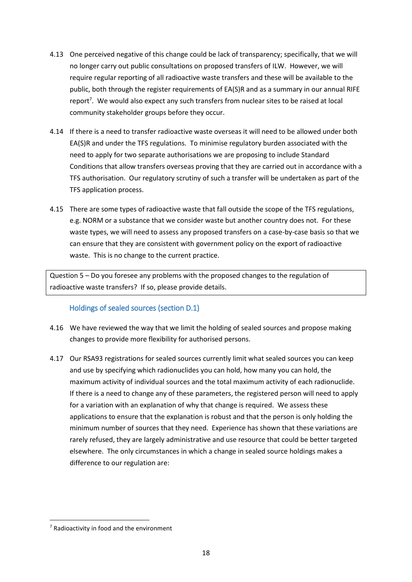- 4.13 One perceived negative of this change could be lack of transparency; specifically, that we will no longer carry out public consultations on proposed transfers of ILW. However, we will require regular reporting of all radioactive waste transfers and these will be available to the public, both through the register requirements of EA(S)R and as a summary in our annual RIFE report<sup>7</sup>. We would also expect any such transfers from nuclear sites to be raised at local community stakeholder groups before they occur.
- 4.14 If there is a need to transfer radioactive waste overseas it will need to be allowed under both EA(S)R and under the TFS regulations. To minimise regulatory burden associated with the need to apply for two separate authorisations we are proposing to include Standard Conditions that allow transfers overseas proving that they are carried out in accordance with a TFS authorisation. Our regulatory scrutiny of such a transfer will be undertaken as part of the TFS application process.
- 4.15 There are some types of radioactive waste that fall outside the scope of the TFS regulations, e.g. NORM or a substance that we consider waste but another country does not. For these waste types, we will need to assess any proposed transfers on a case-by-case basis so that we can ensure that they are consistent with government policy on the export of radioactive waste. This is no change to the current practice.

Question 5 – Do you foresee any problems with the proposed changes to the regulation of radioactive waste transfers? If so, please provide details.

#### Holdings of sealed sources (section D.1)

- <span id="page-17-0"></span>4.16 We have reviewed the way that we limit the holding of sealed sources and propose making changes to provide more flexibility for authorised persons.
- 4.17 Our RSA93 registrations for sealed sources currently limit what sealed sources you can keep and use by specifying which radionuclides you can hold, how many you can hold, the maximum activity of individual sources and the total maximum activity of each radionuclide. If there is a need to change any of these parameters, the registered person will need to apply for a variation with an explanation of why that change is required. We assess these applications to ensure that the explanation is robust and that the person is only holding the minimum number of sources that they need. Experience has shown that these variations are rarely refused, they are largely administrative and use resource that could be better targeted elsewhere. The only circumstances in which a change in sealed source holdings makes a difference to our regulation are:

**.** 

<sup>7</sup> Radioactivity in food and the environment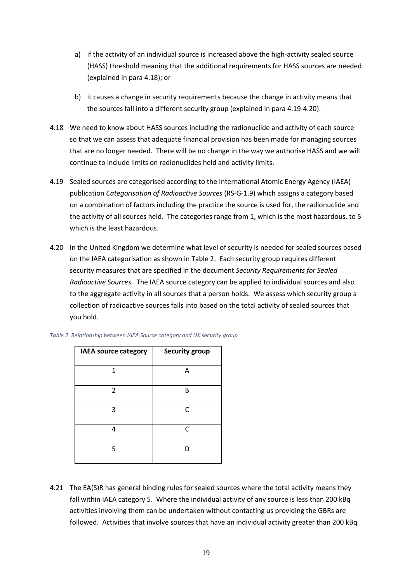- a) if the activity of an individual source is increased above the high-activity sealed source (HASS) threshold meaning that the additional requirements for HASS sources are needed (explained in para 4.18); or
- b) it causes a change in security requirements because the change in activity means that the sources fall into a different security group (explained in para 4.19-4.20).
- 4.18 We need to know about HASS sources including the radionuclide and activity of each source so that we can assess that adequate financial provision has been made for managing sources that are no longer needed. There will be no change in the way we authorise HASS and we will continue to include limits on radionuclides held and activity limits.
- 4.19 Sealed sources are categorised according to the International Atomic Energy Agency (IAEA) publication *Categorisation of Radioactive Sources* (RS-G-1.9) which assigns a category based on a combination of factors including the practice the source is used for, the radionuclide and the activity of all sources held. The categories range from 1, which is the most hazardous, to 5 which is the least hazardous.
- 4.20 In the United Kingdom we determine what level of security is needed for sealed sources based on the IAEA categorisation as shown in [Table 2.](#page-18-0) Each security group requires different security measures that are specified in the document *Security Requirements for Sealed Radioactive Sources*. The IAEA source category can be applied to individual sources and also to the aggregate activity in all sources that a person holds. We assess which security group a collection of radioactive sources falls into based on the total activity of sealed sources that you hold.

| <b>IAEA source category</b> | <b>Security group</b> |
|-----------------------------|-----------------------|
| 1                           | A                     |
| $\overline{2}$              | B                     |
| 3                           | $\mathsf{C}$          |
| 4                           | C                     |
| 5                           | D                     |

<span id="page-18-0"></span>

4.21 The EA(S)R has general binding rules for sealed sources where the total activity means they fall within IAEA category 5. Where the individual activity of any source is less than 200 kBq activities involving them can be undertaken without contacting us providing the GBRs are followed. Activities that involve sources that have an individual activity greater than 200 kBq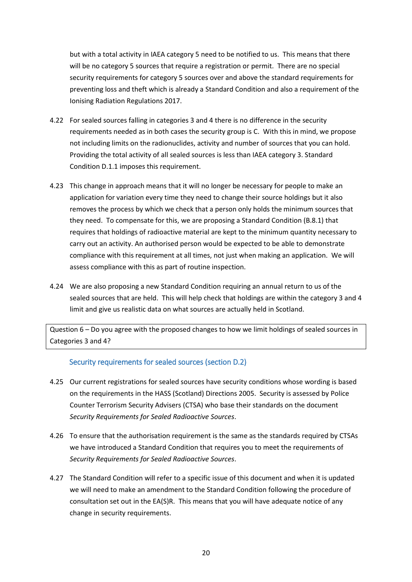but with a total activity in IAEA category 5 need to be notified to us. This means that there will be no category 5 sources that require a registration or permit. There are no special security requirements for category 5 sources over and above the standard requirements for preventing loss and theft which is already a Standard Condition and also a requirement of the Ionising Radiation Regulations 2017.

- 4.22 For sealed sources falling in categories 3 and 4 there is no difference in the security requirements needed as in both cases the security group is C. With this in mind, we propose not including limits on the radionuclides, activity and number of sources that you can hold. Providing the total activity of all sealed sources is less than IAEA category 3. Standard Condition D.1.1 imposes this requirement.
- 4.23 This change in approach means that it will no longer be necessary for people to make an application for variation every time they need to change their source holdings but it also removes the process by which we check that a person only holds the minimum sources that they need. To compensate for this, we are proposing a Standard Condition (B.8.1) that requires that holdings of radioactive material are kept to the minimum quantity necessary to carry out an activity. An authorised person would be expected to be able to demonstrate compliance with this requirement at all times, not just when making an application. We will assess compliance with this as part of routine inspection.
- 4.24 We are also proposing a new Standard Condition requiring an annual return to us of the sealed sources that are held. This will help check that holdings are within the category 3 and 4 limit and give us realistic data on what sources are actually held in Scotland.

Question 6 – Do you agree with the proposed changes to how we limit holdings of sealed sources in Categories 3 and 4?

#### Security requirements for sealed sources (section D.2)

- <span id="page-19-0"></span>4.25 Our current registrations for sealed sources have security conditions whose wording is based on the requirements in the HASS (Scotland) Directions 2005. Security is assessed by Police Counter Terrorism Security Advisers (CTSA) who base their standards on the document *Security Requirements for Sealed Radioactive Sources*.
- 4.26 To ensure that the authorisation requirement is the same as the standards required by CTSAs we have introduced a Standard Condition that requires you to meet the requirements of *Security Requirements for Sealed Radioactive Sources*.
- 4.27 The Standard Condition will refer to a specific issue of this document and when it is updated we will need to make an amendment to the Standard Condition following the procedure of consultation set out in the EA(S)R. This means that you will have adequate notice of any change in security requirements.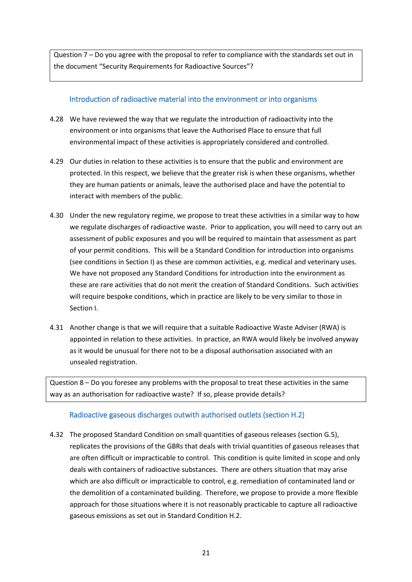Question 7 – Do you agree with the proposal to refer to compliance with the standards set out in the document "Security Requirements for Radioactive Sources"?

#### <span id="page-20-0"></span>Introduction of radioactive material into the environment or into organisms

- 4.28 We have reviewed the way that we regulate the introduction of radioactivity into the environment or into organisms that leave the Authorised Place to ensure that full environmental impact of these activities is appropriately considered and controlled.
- 4.29 Our duties in relation to these activities is to ensure that the public and environment are protected. In this respect, we believe that the greater risk is when these organisms, whether they are human patients or animals, leave the authorised place and have the potential to interact with members of the public.
- 4.30 Under the new regulatory regime, we propose to treat these activities in a similar way to how we regulate discharges of radioactive waste. Prior to application, you will need to carry out an assessment of public exposures and you will be required to maintain that assessment as part of your permit conditions. This will be a Standard Condition for introduction into organisms (see conditions in Section I) as these are common activities, e.g. medical and veterinary uses. We have not proposed any Standard Conditions for introduction into the environment as these are rare activities that do not merit the creation of Standard Conditions. Such activities will require bespoke conditions, which in practice are likely to be very similar to those in Section I.
- 4.31 Another change is that we will require that a suitable Radioactive Waste Adviser (RWA) is appointed in relation to these activities. In practice, an RWA would likely be involved anyway as it would be unusual for there not to be a disposal authorisation associated with an unsealed registration.

Question 8 – Do you foresee any problems with the proposal to treat these activities in the same way as an authorisation for radioactive waste? If so, please provide details?

#### <span id="page-20-1"></span>Radioactive gaseous discharges outwith authorised outlets (section H.2)

4.32 The proposed Standard Condition on small quantities of gaseous releases (section G.5), replicates the provisions of the GBRs that deals with trivial quantities of gaseous releases that are often difficult or impracticable to control. This condition is quite limited in scope and only deals with containers of radioactive substances. There are others situation that may arise which are also difficult or impracticable to control, e.g. remediation of contaminated land or the demolition of a contaminated building. Therefore, we propose to provide a more flexible approach for those situations where it is not reasonably practicable to capture all radioactive gaseous emissions as set out in Standard Condition H.2.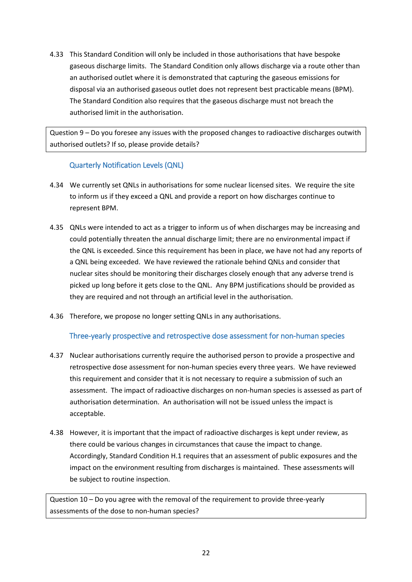4.33 This Standard Condition will only be included in those authorisations that have bespoke gaseous discharge limits. The Standard Condition only allows discharge via a route other than an authorised outlet where it is demonstrated that capturing the gaseous emissions for disposal via an authorised gaseous outlet does not represent best practicable means (BPM). The Standard Condition also requires that the gaseous discharge must not breach the authorised limit in the authorisation.

Question 9 – Do you foresee any issues with the proposed changes to radioactive discharges outwith authorised outlets? If so, please provide details?

#### Quarterly Notification Levels (QNL)

- <span id="page-21-0"></span>4.34 We currently set QNLs in authorisations for some nuclear licensed sites. We require the site to inform us if they exceed a QNL and provide a report on how discharges continue to represent BPM.
- 4.35 QNLs were intended to act as a trigger to inform us of when discharges may be increasing and could potentially threaten the annual discharge limit; there are no environmental impact if the QNL is exceeded. Since this requirement has been in place, we have not had any reports of a QNL being exceeded. We have reviewed the rationale behind QNLs and consider that nuclear sites should be monitoring their discharges closely enough that any adverse trend is picked up long before it gets close to the QNL. Any BPM justifications should be provided as they are required and not through an artificial level in the authorisation.
- <span id="page-21-1"></span>4.36 Therefore, we propose no longer setting QNLs in any authorisations.

#### Three-yearly prospective and retrospective dose assessment for non-human species

- 4.37 Nuclear authorisations currently require the authorised person to provide a prospective and retrospective dose assessment for non-human species every three years. We have reviewed this requirement and consider that it is not necessary to require a submission of such an assessment. The impact of radioactive discharges on non-human species is assessed as part of authorisation determination. An authorisation will not be issued unless the impact is acceptable.
- 4.38 However, it is important that the impact of radioactive discharges is kept under review, as there could be various changes in circumstances that cause the impact to change. Accordingly, Standard Condition H.1 requires that an assessment of public exposures and the impact on the environment resulting from discharges is maintained. These assessments will be subject to routine inspection.

Question 10 – Do you agree with the removal of the requirement to provide three-yearly assessments of the dose to non-human species?